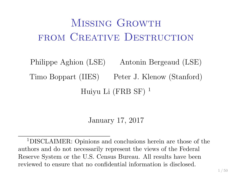# MISSING GROWTH FROM CREATIVE DESTRUCTION

Philippe Aghion (LSE) Antonin Bergeaud (LSE) Timo Boppart (IIES) Peter J. Klenow (Stanford) Huiyu Li  $(FRB SF)^1$ 

January 17, 2017

<sup>1</sup>DISCLAIMER: Opinions and conclusions herein are those of the authors and do not necessarily represent the views of the Federal Reserve System or the U.S. Census Bureau. All results have been reviewed to ensure that no confidential information is disclosed.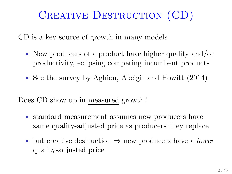# CREATIVE DESTRUCTION (CD)

CD is a key source of growth in many models

- $\triangleright$  New producers of a product have higher quality and/or productivity, eclipsing competing incumbent products
- $\triangleright$  See the survey by Aghion, Akcigit and Howitt (2014)

Does CD show up in measured growth?

- $\triangleright$  standard measurement assumes new producers have same quality-adjusted price as producers they replace
- $\triangleright$  but creative destruction  $\Rightarrow$  new producers have a *lower* quality-adjusted price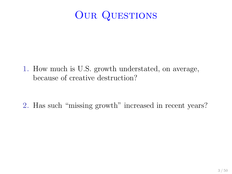### OUR QUESTIONS

1. How much is U.S. growth understated, on average, because of creative destruction?

2. Has such "missing growth" increased in recent years?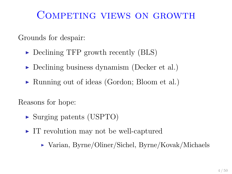### Competing views on growth

Grounds for despair:

- $\triangleright$  Declining TFP growth recently (BLS)
- $\triangleright$  Declining business dynamism (Decker et al.)
- $\triangleright$  Running out of ideas (Gordon; Bloom et al.)

Reasons for hope:

- $\triangleright$  Surging patents (USPTO)
- $\blacktriangleright$  IT revolution may not be well-captured
	- $\triangleright$  Varian, Byrne/Oliner/Sichel, Byrne/Kovak/Michaels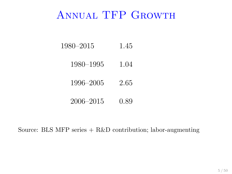### Annual TFP Growth

- 1980–2015 1.45
	- 1980–1995 1.04
	- 1996–2005 2.65
	- 2006–2015 0.89

Source: BLS MFP series  $+$  R&D contribution; labor-augmenting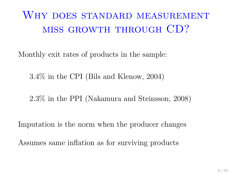## WHY DOES STANDARD MEASUREMENT miss growth through CD?

Monthly exit rates of products in the sample:

3.4% in the CPI (Bils and Klenow, 2004)

2.3% in the PPI (Nakamura and Steinsson, 2008)

Imputation is the norm when the producer changes

Assumes same inflation as for surviving products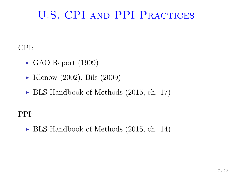### U.S. CPI and PPI Practices

CPI:

- $\blacktriangleright$  GAO Report (1999)
- $\blacktriangleright$  Klenow (2002), Bils (2009)
- $\triangleright$  BLS Handbook of Methods (2015, ch. 17)

PPI:

 $\triangleright$  BLS Handbook of Methods (2015, ch. 14)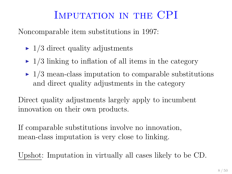### IMPUTATION IN THE CPI

Noncomparable item substitutions in 1997:

- $\blacktriangleright$  1/3 direct quality adjustments
- $\blacktriangleright$  1/3 linking to inflation of all items in the category
- $\rightarrow$  1/3 mean-class imputation to comparable substitutions and direct quality adjustments in the category

Direct quality adjustments largely apply to incumbent innovation on their own products.

If comparable substitutions involve no innovation, mean-class imputation is very close to linking.

Upshot: Imputation in virtually all cases likely to be CD.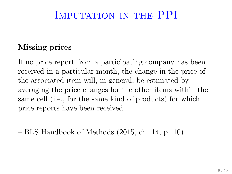#### IMPUTATION IN THE PPI

#### Missing prices

If no price report from a participating company has been received in a particular month, the change in the price of the associated item will, in general, be estimated by averaging the price changes for the other items within the same cell (i.e., for the same kind of products) for which price reports have been received.

– BLS Handbook of Methods (2015, ch. 14, p. 10)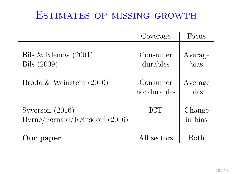### Estimates of missing growth

|                                                     | Coverage                | Focus             |
|-----------------------------------------------------|-------------------------|-------------------|
| Bils & Klenow $(2001)$<br>Bils (2009)               | Consumer<br>durables    | Average<br>bias   |
| Broda & Weinstein $(2010)$                          | Consumer<br>nondurables | Average<br>bias   |
| Syverson $(2016)$<br>Byrne/Fernald/Reinsdorf (2016) | <b>ICT</b>              | Change<br>in bias |
| Our paper                                           | All sectors             | Both              |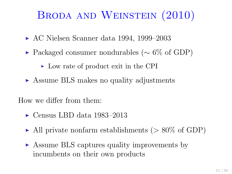## Broda and Weinstein (2010)

- $\triangleright$  AC Nielsen Scanner data 1994, 1999–2003
- $\triangleright$  Packaged consumer nondurables ( $\sim$  6\% of GDP)
	- In Low rate of product exit in the CPI
- ▶ Assume BLS makes no quality adjustments

How we differ from them:

- $\blacktriangleright$  Census LBD data 1983–2013
- $\blacktriangleright$  All private nonfarm establishments ( $> 80\%$  of GDP)
- ► Assume BLS captures quality improvements by incumbents on their own products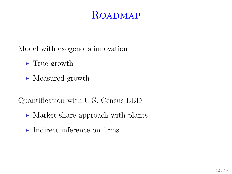#### ROADMAP

Model with exogenous innovation

- $\blacktriangleright$  True growth
- $\blacktriangleright$  Measured growth

Quantification with U.S. Census LBD

- Market share approach with plants
- $\blacktriangleright$  Indirect inference on firms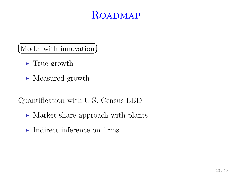#### ROADMAP

☎

 $\overline{\Omega}$ (Model with innovation)

- $\blacktriangleright$  True growth
- $\blacktriangleright$  Measured growth

Quantification with U.S. Census LBD

- $\triangleright$  Market share approach with plants
- $\blacktriangleright$  Indirect inference on firms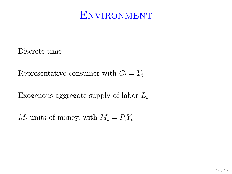#### **ENVIRONMENT**

Discrete time

Representative consumer with  $C_t = Y_t$ 

Exogenous aggregate supply of labor  $L_t$ 

 $M_t$  units of money, with  $M_t = P_t Y_t$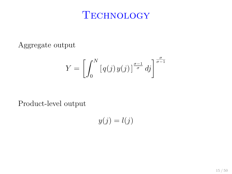#### **TECHNOLOGY**

Aggregate output

$$
Y = \left[ \int_0^N \left[ q(j) \, y(j) \right]^{\frac{\sigma - 1}{\sigma}} dj \right]^{\frac{\sigma}{\sigma - 1}}
$$

Product-level output

$$
y(j) = l(j)
$$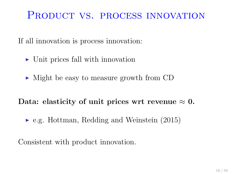#### PRODUCT VS. PROCESS INNOVATION

If all innovation is process innovation:

- $\triangleright$  Unit prices fall with innovation
- $\triangleright$  Might be easy to measure growth from CD

#### Data: elasticity of unit prices wrt revenue  $\approx 0$ .

 $\blacktriangleright$  e.g. Hottman, Redding and Weinstein (2015)

Consistent with product innovation.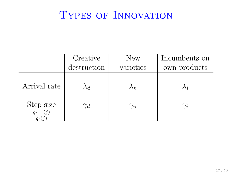### TYPES OF INNOVATION

|                                              | Creative    | New        | Incumbents on |
|----------------------------------------------|-------------|------------|---------------|
|                                              | destruction | varieties  | own products  |
| Arrival rate                                 |             | $\wedge_n$ | $\lambda_i$   |
| Step size<br>$\frac{q_{t+1}(j)}{q_{t+1}(j)}$ | $\gamma_d$  | $\gamma_n$ | $\gamma_i$    |
|                                              |             |            |               |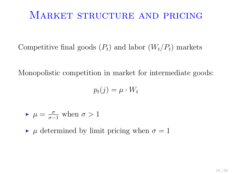#### MARKET STRUCTURE AND PRICING

Competitive final goods  $(P_t)$  and labor  $(W_t/P_t)$  markets

Monopolistic competition in market for intermediate goods:

$$
p_t(j) = \mu \cdot W_t
$$

$$
\blacktriangleright
$$
  $\mu = \frac{\sigma}{\sigma - 1}$  when  $\sigma > 1$ 

 $\triangleright$   $\mu$  determined by limit pricing when  $\sigma = 1$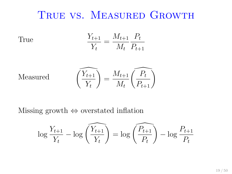#### True vs. Measured Growth

True 
$$
\frac{Y_{t+1}}{Y_t} = \frac{M_{t+1}}{M_t} \frac{P_t}{P_{t+1}}
$$

$$
\text{Measured}\qquad \qquad \widehat{\left(\frac{Y_{t+1}}{Y_t}\right)} = \frac{M_{t+1}}{M_t} \widehat{\left(\frac{P_t}{P_{t+1}}\right)}
$$

Missing growth ⇔ overstated inflation

$$
\log \frac{Y_{t+1}}{Y_t} - \log \left( \overbrace{Y_t} \right) = \log \left( \overbrace{P_t} \right) - \log \frac{P_{t+1}}{P_t}
$$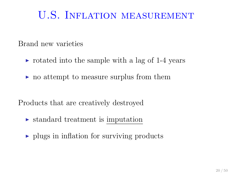### U.S. Inflation measurement

Brand new varieties

- $\triangleright$  rotated into the sample with a lag of 1-4 years
- $\triangleright$  no attempt to measure surplus from them

Products that are creatively destroyed

- $\triangleright$  standard treatment is imputation
- $\rightarrow$  plugs in inflation for surviving products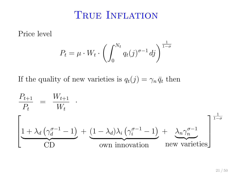#### TRUE INFLATION

Price level

$$
P_t = \mu \cdot W_t \cdot \left( \int_0^{N_t} q_t(j)^{\sigma - 1} \, dj \right)^{\frac{1}{1 - \sigma}}
$$

If the quality of new varieties is  $q_t(j) = \gamma_n \bar{q}_t$  then

$$
\frac{P_{t+1}}{P_t} = \frac{W_{t+1}}{W_t} \cdot \left[\underbrace{1 + \lambda_d \left(\gamma_d^{\sigma-1} - 1\right)}_{CD} + \underbrace{(1 - \lambda_d)\lambda_i \left(\gamma_i^{\sigma-1} - 1\right)}_{Own \text{ innovation}} + \underbrace{\lambda_n \gamma_n^{\sigma-1}}_{new \text{ varieties}}\right]^\frac{1}{1-\sigma}
$$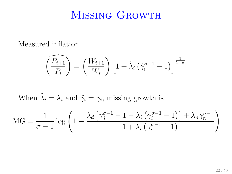#### Missing Growth

Measured inflation

$$
\widehat{\left(\frac{P_{t+1}}{P_t}\right)} = \left(\frac{W_{t+1}}{W_t}\right) \left[1 + \widehat{\lambda}_i \left(\widehat{\gamma}_i^{\sigma-1} - 1\right)\right]^{\frac{1}{1-\sigma}}
$$

When  $\hat{\lambda}_i = \lambda_i$  and  $\hat{\gamma}_i = \gamma_i$ , missing growth is

$$
MG = \frac{1}{\sigma - 1} \log \left( 1 + \frac{\lambda_d \left[ \gamma_d^{\sigma - 1} - 1 - \lambda_i \left( \gamma_i^{\sigma - 1} - 1 \right) \right] + \lambda_n \gamma_n^{\sigma - 1}}{1 + \lambda_i \left( \gamma_i^{\sigma - 1} - 1 \right)} \right)
$$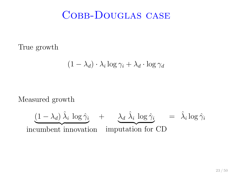True growth

$$
(1 - \lambda_d) \cdot \lambda_i \log \gamma_i + \lambda_d \cdot \log \gamma_d
$$

Measured growth

$$
\underbrace{(1-\lambda_d)\,\hat{\lambda}_i\,\log\hat{\gamma}_i}_{\text{incumbent innovation}} + \underbrace{\lambda_d\,\hat{\lambda}_i\,\log\hat{\gamma}_i}_{\text{imputation for CD}} = \hat{\lambda}_i\log\hat{\gamma}_i
$$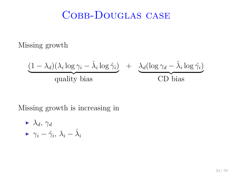Missing growth

$$
\frac{(1 - \lambda_d)(\lambda_i \log \gamma_i - \hat{\lambda}_i \log \hat{\gamma}_i)}{\text{quality bias}} + \frac{\lambda_d (\log \gamma_d - \hat{\lambda}_i \log \hat{\gamma}_i)}{\text{CD bias}}
$$

Missing growth is increasing in

$$
\begin{array}{c}\n\blacktriangleright \ \lambda_d, \ \gamma_d \\
\blacktriangleright \ \gamma_i - \hat{\gamma}_i, \ \lambda_i - \hat{\lambda}_i\n\end{array}
$$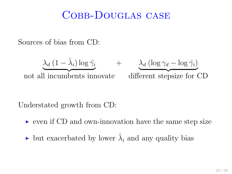Sources of bias from CD:

$$
\underbrace{\lambda_d (1 - \hat{\lambda}_i) \log \hat{\gamma}_i}_{\text{not all incumbents innovative}} + \underbrace{\lambda_d (\log \gamma_d - \log \hat{\gamma}_i)}_{\text{different stepsize for CD}}
$$

Understated growth from CD:

- $\triangleright$  even if CD and own-innovation have the same step size
- ightharpoonright bias but exacerbated by lower  $\hat{\lambda}_i$  and any quality bias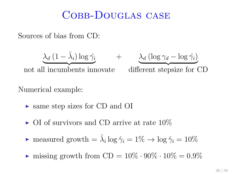Sources of bias from CD:

$$
\underbrace{\lambda_d (1 - \hat{\lambda}_i) \log \hat{\gamma}_i}_{\text{max}} \qquad \qquad
$$

not all incumbents innovate different stepsize for CD

+ λ<sup>d</sup> (log γ<sup>d</sup> − log ˆγi)

#### Numerical example:

- ► same step sizes for CD and OI
- $\triangleright$  OI of survivors and CD arrive at rate 10%
- measured growth  $= \hat{\lambda}_i \log \hat{\gamma}_i = 1\% \rightarrow \log \hat{\gamma}_i = 10\%$
- ightharpoonup missing growth from  $CD = 10\% \cdot 90\% \cdot 10\% = 0.9\%$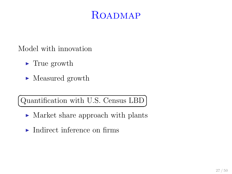#### ROADMAP

☎ ✆

Model with innovation

- $\blacktriangleright$  True growth
- $\blacktriangleright$  Measured growth

Quantification with U.S. Census LBD ✝

- Market share approach with plants
- $\blacktriangleright$  Indirect inference on firms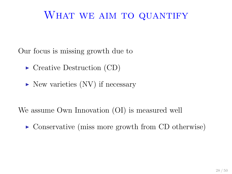#### WHAT WE AIM TO QUANTIFY

Our focus is missing growth due to

- $\blacktriangleright$  Creative Destruction (CD)
- $\triangleright$  New varieties (NV) if necessary

We assume Own Innovation (OI) is measured well

 $\triangleright$  Conservative (miss more growth from CD otherwise)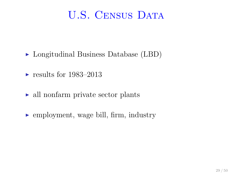### U.S. CENSUS DATA

- $\blacktriangleright$  Longitudinal Business Database (LBD)
- $\blacktriangleright$  results for 1983–2013
- $\triangleright$  all nonfarm private sector plants
- $\blacktriangleright$  employment, wage bill, firm, industry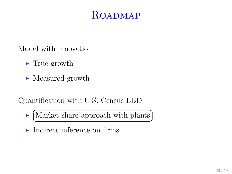#### ROADMAP

☎ ✆

Model with innovation

- $\blacktriangleright$  True growth
- $\blacktriangleright$  Measured growth

Quantification with U.S. Census LBD

- $\blacktriangleright$ Market share approach with plants ✝
- $\blacktriangleright$  Indirect inference on firms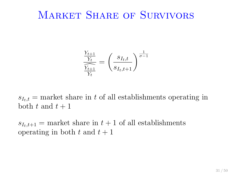#### MARKET SHARE OF SURVIVORS

$$
\frac{\frac{Y_{t+1}}{Y_t}}{\frac{Y_{t+1}}{Y_t}} = \left(\frac{s_{I_t,t}}{s_{I_t,t+1}}\right)^{\frac{1}{\sigma-1}}
$$

 $s_{I_t,t}$  = market share in t of all establishments operating in both t and  $t+1$ 

 $s_{I_t,t+1}$  = market share in  $t+1$  of all establishments operating in both t and  $t + 1$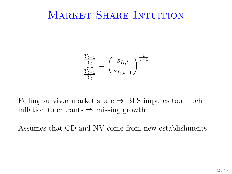#### MARKET SHARE INTUITION

$$
\frac{\frac{Y_{t+1}}{Y_t}}{\frac{Y_{t+1}}{Y_t}} = \left(\frac{s_{I_t,t}}{s_{I_t,t+1}}\right)^{\frac{1}{\sigma-1}}
$$

Falling survivor market share  $\Rightarrow$  BLS imputes too much inflation to entrants  $\Rightarrow$  missing growth

Assumes that CD and NV come from new establishments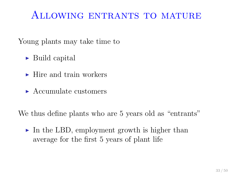### Allowing entrants to mature

Young plants may take time to

- $\blacktriangleright$  Build capital
- $\blacktriangleright$  Hire and train workers
- $\blacktriangleright$  Accumulate customers

We thus define plants who are 5 years old as "entrants"

 $\triangleright$  In the LBD, employment growth is higher than average for the first 5 years of plant life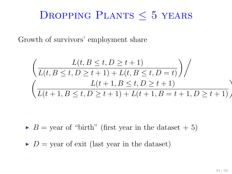### DROPPING PLANTS  $<$  5 YEARS

Growth of survivors' employment share

$$
\left(\frac{L(t, B \le t, D \ge t+1)}{L(t, B \le t, D \ge t+1) + L(t, B \le t, D = t)}\right) / \left(\frac{L(t+1, B \le t, D \ge t+1)}{L(t+1, B \le t, D \ge t+1) + L(t+1, B = t+1, D \ge t+1)}\right)
$$

 $\blacktriangleright$  B = year of "birth" (first year in the dataset + 5)

 $\triangleright$  D = year of exit (last year in the dataset)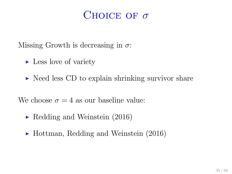#### CHOICE OF  $\sigma$

Missing Growth is decreasing in  $\sigma$ :

- $\blacktriangleright$  Less love of variety
- $\triangleright$  Need less CD to explain shrinking survivor share

We choose  $\sigma = 4$  as our baseline value:

- $\blacktriangleright$  Redding and Weinstein (2016)
- $\blacktriangleright$  Hottman, Redding and Weinstein (2016)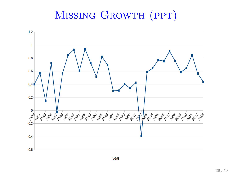### Missing Growth (ppt)

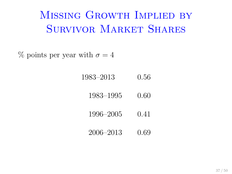# Missing Growth Implied by Survivor Market Shares

 $\%$  points per year with  $\sigma = 4$ 

1983–2013 0.56

1983–1995 0.60

1996–2005 0.41

2006–2013 0.69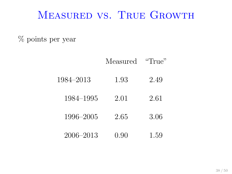#### Measured vs. True Growth

% points per year

|           | Measured | "True" |
|-----------|----------|--------|
| 1984-2013 | 1.93     | 2.49   |
| 1984–1995 | 2.01     | 2.61   |
| 1996-2005 | 2.65     | 3.06   |
| 2006–2013 | 0.90     | 1.59   |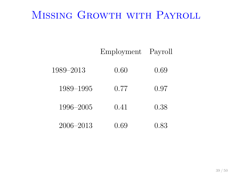# Missing Growth with Payroll

|           | Employment | Payroll |
|-----------|------------|---------|
| 1989-2013 | 0.60       | 0.69    |
| 1989–1995 | 0.77       | 0.97    |
| 1996–2005 | 0.41       | 0.38    |
| 2006–2013 | 0.69       | 0.83    |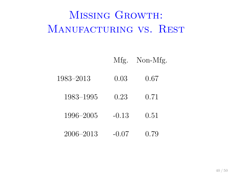# MISSING GROWTH: MANUFACTURING VS. REST

- Mfg. Non-Mfg.
- 1983–2013 0.03 0.67
	- 1983–1995 0.23 0.71
	- 1996–2005 -0.13 0.51
	- 2006–2013 -0.07 0.79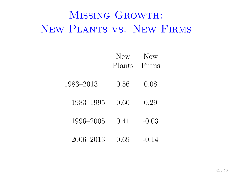# Missing Growth: New Plants vs. New Firms

|           | New    | New     |
|-----------|--------|---------|
|           | Plants | Firms   |
| 1983-2013 | 0.56   | 0.08    |
| 1983–1995 | 0.60   | 0.29    |
| 1996–2005 | 0.41   | $-0.03$ |
| 2006-2013 | 0.69   | $-0.14$ |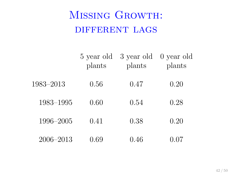# Missing Growth: DIFFERENT LAGS

|           | 5 year old<br>plants | 3 year old<br>plants | 0 year old<br>plants |
|-----------|----------------------|----------------------|----------------------|
| 1983-2013 | 0.56                 | 0.47                 | $0.20\,$             |
| 1983–1995 | 0.60                 | 0.54                 | 0.28                 |
| 1996–2005 | 0.41                 | 0.38                 | 0.20                 |
| 2006-2013 | $0.69\,$             | 0.46                 | 0.07                 |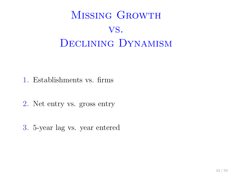# MISSING GROWTH vs. DECLINING DYNAMISM

- 1. Establishments vs. firms
- 2. Net entry vs. gross entry
- 3. 5-year lag vs. year entered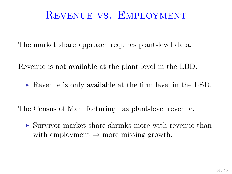#### Revenue vs. Employment

The market share approach requires plant-level data.

Revenue is not available at the plant level in the LBD.

 $\triangleright$  Revenue is only available at the firm level in the LBD.

The Census of Manufacturing has plant-level revenue.

 $\triangleright$  Survivor market share shrinks more with revenue than with employment  $\Rightarrow$  more missing growth.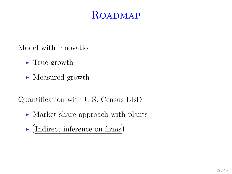#### ROADMAP

Model with innovation

- $\blacktriangleright$  True growth
- $\blacktriangleright$  Measured growth

Quantification with U.S. Census LBD

- $\triangleright$  Market share approach with plants
- $\blacktriangleright$  $\overline{f}$ (Indirect inference on firms) ☎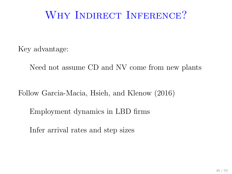### WHY INDIRECT INFERENCE?

Key advantage:

Need not assume CD and NV come from new plants

Follow Garcia-Macia, Hsieh, and Klenow (2016)

Employment dynamics in LBD firms

Infer arrival rates and step sizes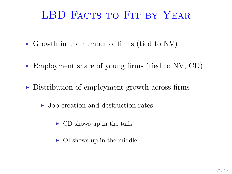### LBD FACTS TO FIT BY YEAR

- $\triangleright$  Growth in the number of firms (tied to NV)
- $\blacktriangleright$  Employment share of young firms (tied to NV, CD)
- $\triangleright$  Distribution of employment growth across firms
	- $\triangleright$  Job creation and destruction rates
		- $\triangleright$  CD shows up in the tails
		- $\triangleright$  OI shows up in the middle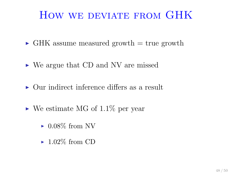### HOW WE DEVIATE FROM GHK

- $\triangleright$  GHK assume measured growth  $=$  true growth
- $\triangleright$  We argue that CD and NV are missed
- $\triangleright$  Our indirect inference differs as a result
- $\triangleright$  We estimate MG of 1.1\% per year
	- $\blacktriangleright$  0.08% from NV
	- $\blacktriangleright$  1.02\% from CD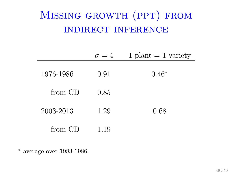# Missing growth (ppt) from indirect inference

|           | $\sigma = 4$ | $1$ plant $= 1$ variety |
|-----------|--------------|-------------------------|
| 1976-1986 | 0.91         | $0.46*$                 |
| from CD   | 0.85         |                         |
| 2003-2013 | 1.29         | 0.68                    |
| from CD   | 1.19         |                         |

<sup>∗</sup> average over 1983-1986.